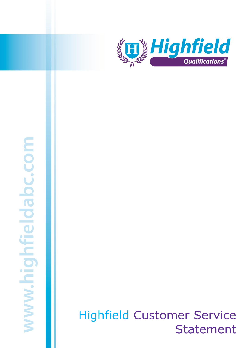

# www.highfieldabc.com

Version 4.

# Highfield Customer Service Statement. Highfield Customer Service Statement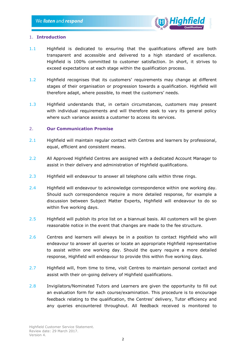

### 1. **Introduction**

- 1.1 Highfield is dedicated to ensuring that the qualifications offered are both transparent and accessible and delivered to a high standard of excellence. Highfield is 100% committed to customer satisfaction. In short, it strives to exceed expectations at each stage within the qualification process.
- 1.2 Highfield recognises that its customers' requirements may change at different stages of their organisation or progression towards a qualification. Highfield will therefore adapt, where possible, to meet the customers' needs.
- 1.3 Highfield understands that, in certain circumstances, customers may present with individual requirements and will therefore seek to vary its general policy where such variance assists a customer to access its services.

### 2. **Our Communication Promise**

- 2.1 Highfield will maintain regular contact with Centres and learners by professional, equal, efficient and consistent means.
- 2.2 All Approved Highfield Centres are assigned with a dedicated Account Manager to assist in their delivery and administration of Highfield qualifications.
- 2.3 Highfield will endeavour to answer all telephone calls within three rings.
- 2.4 Highfield will endeavour to acknowledge correspondence within one working day. Should such correspondence require a more detailed response, for example a discussion between Subject Matter Experts, Highfield will endeavour to do so within five working days.
- 2.5 Highfield will publish its price list on a biannual basis. All customers will be given reasonable notice in the event that changes are made to the fee structure.
- 2.6 Centres and learners will always be in a position to contact Highfield who will endeavour to answer all queries or locate an appropriate Highfield representative to assist within one working day. Should the query require a more detailed response, Highfield will endeavour to provide this within five working days.
- 2.7 Highfield will, from time to time, visit Centres to maintain personal contact and assist with their on-going delivery of Highfield qualifications.
- 2.8 Invigilators/Nominated Tutors and Learners are given the opportunity to fill out an evaluation form for each course/examination. This procedure is to encourage feedback relating to the qualification, the Centres' delivery, Tutor efficiency and any queries encountered throughout. All feedback received is monitored to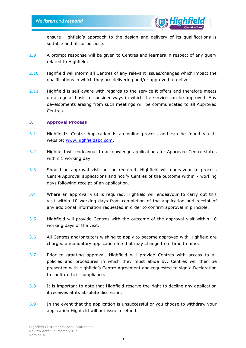

ensure Highfield's approach to the design and delivery of its qualifications is suitable and fit for purpose.

- 2.9 A prompt response will be given to Centres and learners in respect of any query related to Highfield.
- 2.10 Highfield will inform all Centres of any relevant issues/changes which impact the qualifications in which they are delivering and/or approved to deliver.
- 2.11 Highfield is self-aware with regards to the service it offers and therefore meets on a regular basis to consider ways in which the service can be improved. Any developments arising from such meetings will be communicated to all Approved Centres.

### 3. **Approval Process**

- 3.1 Highfield's Centre Application is an online process and can be found via its website; [www.highfieldabc.com.](http://www.highfieldabc.com/)
- 3.2 Highfield will endeavour to acknowledge applications for Approved Centre status within 1 working day.
- 3.3 Should an approval visit not be required, Highfield will endeavour to process Centre Approval applications and notify Centres of the outcome within 7 working days following receipt of an application.
- 3.4 Where an approval visit is required, Highfield will endeavour to carry out this visit within 10 working days from completion of the application and receipt of any additional information requested in order to confirm approval in principle.
- 3.5 Highfield will provide Centres with the outcome of the approval visit within 10 working days of the visit.
- 3.6 All Centres and/or tutors wishing to apply to become approved with Highfield are charged a mandatory application fee that may change from time to time.
- 3.7 Prior to granting approval, Highfield will provide Centres with access to all policies and procedures in which they must abide by. Centres will then be presented with Highfield's Centre Agreement and requested to sign a Declaration to confirm their compliance.
- 3.8 It is important to note that Highfield reserve the right to decline any application it receives at its absolute discretion.
- 3.9 In the event that the application is unsuccessful or you choose to withdraw your application Highfield will not issue a refund.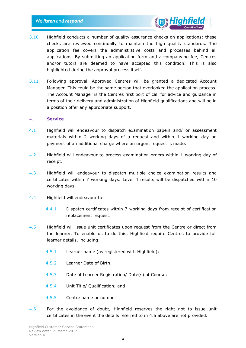

- 3.10 Highfield conducts a number of quality assurance checks on applications; these checks are reviewed continually to maintain the high quality standards. The application fee covers the administrative costs and processes behind all applications. By submitting an application form and accompanying fee, Centres and/or tutors are deemed to have accepted this condition. This is also highlighted during the approval process itself.
- 3.11 Following approval, Approved Centres will be granted a dedicated Account Manager. This could be the same person that overlooked the application process. The Account Manager is the Centres first port of call for advice and guidance in terms of their delivery and administration of Highfield qualifications and will be in a position offer any appropriate support.

### 4. **Service**

- 4.1 Highfield will endeavour to dispatch examination papers and/ or assessment materials within 2 working days of a request and within 1 working day on payment of an additional charge where an urgent request is made.
- 4.2 Highfield will endeavour to process examination orders within 1 working day of receipt.
- 4.3 Highfield will endeavour to dispatch multiple choice examination results and certificates within 7 working days. Level 4 results will be dispatched within 10 working days.
- 4.4 Highfield will endeavour to:
	- 4.4.1 Dispatch certificates within 7 working days from receipt of certification replacement request.
- 4.5 Highfield will issue unit certificates upon request from the Centre or direct from the learner. To enable us to do this, Highfield require Centres to provide full learner details, including:
	- 4.5.1 Learner name (as registered with Highfield);
	- 4.5.2 Learner Date of Birth;
	- 4.5.3 Date of Learner Registration/ Date(s) of Course;
	- 4.5.4 Unit Title/ Qualification; and
	- 4.5.5 Centre name or number.
- 4.6 For the avoidance of doubt, Highfield reserves the right not to issue unit certificates in the event the details referred to in 4.5 above are not provided.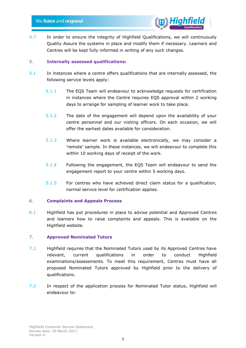

4.7 In order to ensure the integrity of Highfield Qualifications, we will continuously Quality Assure the systems in place and modify them if necessary. Learners and Centres will be kept fully informed in writing of any such changes.

# 5. **Internally assessed qualifications:**

- 5.1 In instances where a centre offers qualifications that are internally assessed, the following service levels apply:
	- 5.1.1 The EQS Team will endeavour to acknowledge requests for certification in instances where the Centre requires EQS approval within 2 working days to arrange for sampling of learner work to take place.
	- 5.1.2 The date of the engagement will depend upon the availability of your centre personnel and our visiting officers. On each occasion, we will offer the earliest dates available for consideration.
	- 5.1.3 Where learner work is available electronically, we may consider a 'remote' sample. In these instances, we will endeavour to complete this within 10 working days of receipt of the work.
	- 5.1.4 Following the engagement, the EQS Team will endeavour to send the engagement report to your centre within 5 working days.
	- 5.1.5 For centres who have achieved direct claim status for a qualification, normal service level for certification applies.

# 6. **Complaints and Appeals Process**

6.1 Highfield has put procedures in place to advise potential and Approved Centres and learners how to raise complaints and appeals. This is available on the Highfield website.

# 7. **Approved Nominated Tutors**

- 7.1 Highfield requires that the Nominated Tutors used by its Approved Centres have relevant, current qualifications in order to conduct Highfield examinations/assessments. To meet this requirement, Centres must have all proposed Nominated Tutors approved by Highfield prior to the delivery of qualifications.
- 7.2 In respect of the application process for Nominated Tutor status, Highfield will endeavour to: